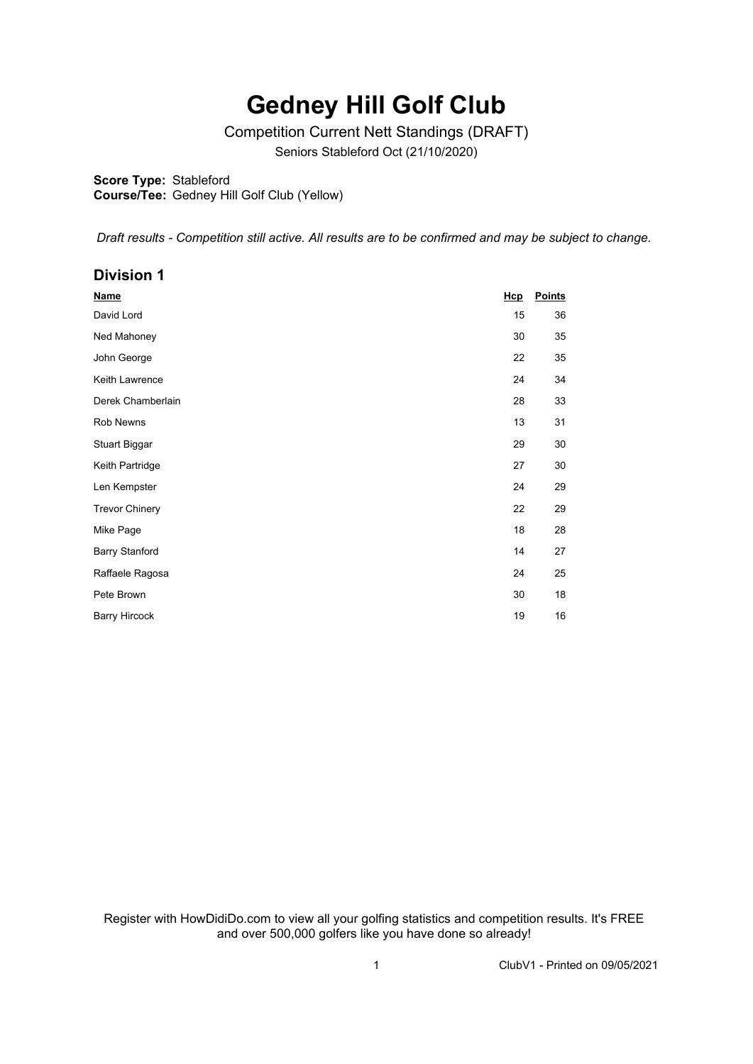## **Gedney Hill Golf Club**

Competition Current Nett Standings (DRAFT)

Seniors Stableford Oct (21/10/2020)

**Score Type:** Stableford

**Course/Tee:** Gedney Hill Golf Club (Yellow)

*Draft results - Competition still active. All results are to be confirmed and may be subject to change.* 

## **Division 1**

| <b>Name</b>           | Hcp | <b>Points</b> |
|-----------------------|-----|---------------|
| David Lord            | 15  | 36            |
| Ned Mahoney           | 30  | 35            |
| John George           | 22  | 35            |
| Keith Lawrence        | 24  | 34            |
| Derek Chamberlain     | 28  | 33            |
| Rob Newns             | 13  | 31            |
| <b>Stuart Biggar</b>  | 29  | 30            |
| Keith Partridge       | 27  | 30            |
| Len Kempster          | 24  | 29            |
| <b>Trevor Chinery</b> | 22  | 29            |
| Mike Page             | 18  | 28            |
| <b>Barry Stanford</b> | 14  | 27            |
| Raffaele Ragosa       | 24  | 25            |
| Pete Brown            | 30  | 18            |
| <b>Barry Hircock</b>  | 19  | 16            |

Register with HowDidiDo.com to view all your golfing statistics and competition results. It's FREE and over 500,000 golfers like you have done so already!